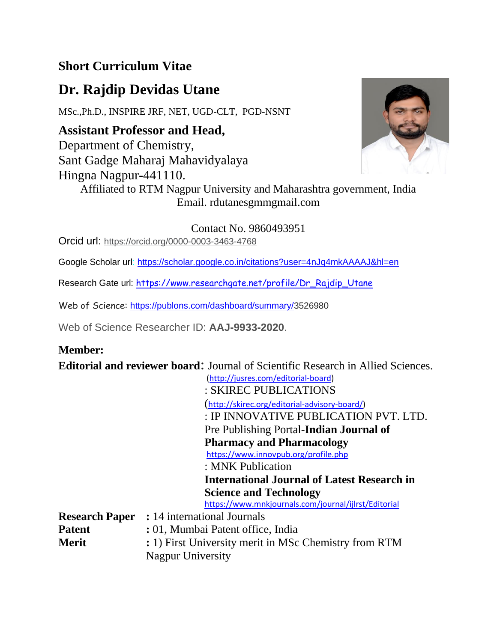## **Short Curriculum Vitae**

# **Dr. Rajdip Devidas Utane**

MSc.,Ph.D., INSPIRE JRF, NET, UGD-CLT, PGD-NSNT

**Assistant Professor and Head,**  Department of Chemistry, Sant Gadge Maharaj Mahavidyalaya Hingna Nagpur-441110.



Affiliated to RTM Nagpur University and Maharashtra government, India Email. rdutanesgmmgmail.com

Contact No. 9860493951

Orcid url: [https://orcid.org/0000-0003-3463-4768](about:blank)

Google Scholar url: [https://scholar.google.co.in/citations?user=4nJq4mkAAAAJ&hl=en](about:blank)

Research Gate url: [https://www.researchgate.net/profile/Dr\\_Rajdip\\_Utane](about:blank)

Web of Science: [https://publons.com/dashboard/summary/3](about:blank)526980

Web of Science Researcher ID: **AAJ-9933-2020**.

## **Member:**

**Editorial and reviewer board**: Journal of Scientific Research in Allied Sciences.

[\(http://jusres.com/editorial-board\)](about:blank) : SKIREC PUBLICATIONS ([http://skirec.org/editorial-advisory-board/\)](about:blank) : IP INNOVATIVE PUBLICATION PVT. LTD. Pre Publishing Portal-**Indian Journal of Pharmacy and Pharmacology** [https://www.innovpub.org/profile.php](about:blank) : MNK Publication **International Journal of Latest Research in Science and Technology** [https://www.mnkjournals.com/journal/ijlrst/Editorial](about:blank)

**Research Paper :** 14 international Journals **Patent** : 01, Mumbai Patent office, India **Merit** : 1) First University merit in MSc Chemistry from RTM Nagpur University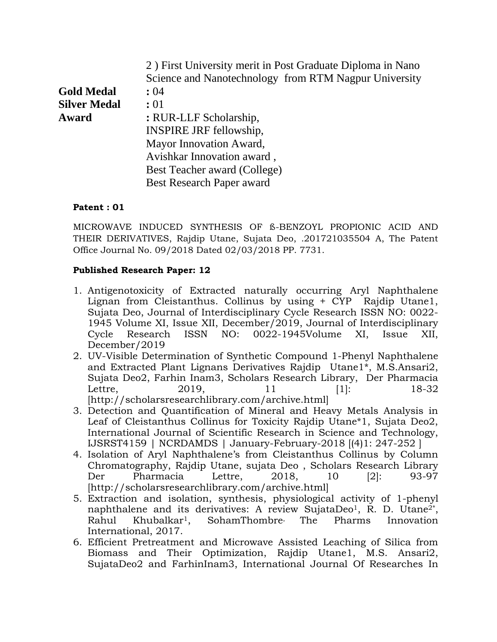| 2) First University merit in Post Graduate Diploma in Nano |
|------------------------------------------------------------|
| Science and Nanotechnology from RTM Nagpur University      |
|                                                            |
|                                                            |
|                                                            |
|                                                            |
|                                                            |
|                                                            |
|                                                            |
|                                                            |
|                                                            |

### **Patent : 01**

MICROWAVE INDUCED SYNTHESIS OF ß-BENZOYL PROPIONIC ACID AND THEIR DERIVATIVES, Rajdip Utane, Sujata Deo, .201721035504 A, The Patent Office Journal No. 09/2018 Dated 02/03/2018 PP. 7731.

### **Published Research Paper: 12**

- 1. Antigenotoxicity of Extracted naturally occurring Aryl Naphthalene Lignan from Cleistanthus. Collinus by using + CYP Rajdip Utane1, Sujata Deo, Journal of Interdisciplinary Cycle Research ISSN NO: 0022- 1945 Volume XI, Issue XII, December/2019, Journal of Interdisciplinary Cycle Research ISSN NO: 0022-1945Volume XI, Issue XII, December/2019
- 2. UV-Visible Determination of Synthetic Compound 1-Phenyl Naphthalene and Extracted Plant Lignans Derivatives Rajdip Utane1\*, M.S.Ansari2, Sujata Deo2, Farhin Inam3, Scholars Research Library, Der Pharmacia Lettre, 2019, 11 [1]: 18-32 [http://scholarsresearchlibrary.com/archive.html]
- 3. Detection and Quantification of Mineral and Heavy Metals Analysis in Leaf of Cleistanthus Collinus for Toxicity Rajdip Utane\*1, Sujata Deo2, International Journal of Scientific Research in Science and Technology, IJSRST4159 | NCRDAMDS | January-February-2018 [(4)1: 247-252 ]
- 4. Isolation of Aryl Naphthalene's from Cleistanthus Collinus by Column Chromatography, Rajdip Utane, sujata Deo , Scholars Research Library Der Pharmacia Lettre, 2018, 10 [2]: 93-97 [http://scholarsresearchlibrary.com/archive.html]
- 5. Extraction and isolation, synthesis, physiological activity of 1-phenyl naphthalene and its derivatives: A review SujataDeo<sup>1</sup>, R. D. Utane<sup>2\*</sup>, Rahul Khubalkar1, SohamThombre, The Pharms Innovation International, 2017.
- 6. Efficient Pretreatment and Microwave Assisted Leaching of Silica from Biomass and Their Optimization, Rajdip Utane1, M.S. Ansari2, SujataDeo2 and FarhinInam3, International Journal Of Researches In